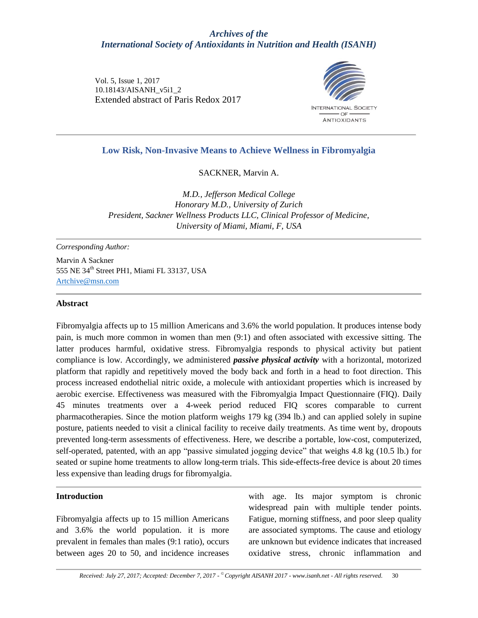## *Archives of the International Society of Antioxidants in Nutrition and Health (ISANH)*

Vol. 5, Issue 1, 2017 10.18143/AISANH\_v5i1\_2 Extended abstract of Paris Redox 2017



## **Low Risk, Non-Invasive Means to Achieve Wellness in Fibromyalgia**

SACKNER, Marvin A.

*M.D., Jefferson Medical College Honorary M.D., University of Zurich President, Sackner Wellness Products LLC, Clinical Professor of Medicine, University of Miami, Miami, F, USA*

*Corresponding Author:* 

Marvin A Sackner 555 NE 34th Street PH1, Miami FL 33137, USA Artchive@msn.com

#### **Abstract**

Fibromyalgia affects up to 15 million Americans and 3.6% the world population. It produces intense body pain, is much more common in women than men (9:1) and often associated with excessive sitting. The latter produces harmful, oxidative stress. Fibromyalgia responds to physical activity but patient compliance is low. Accordingly, we administered *passive physical activity* with a horizontal, motorized platform that rapidly and repetitively moved the body back and forth in a head to foot direction. This process increased endothelial nitric oxide, a molecule with antioxidant properties which is increased by aerobic exercise. Effectiveness was measured with the Fibromyalgia Impact Questionnaire (FIQ). Daily 45 minutes treatments over a 4-week period reduced FIQ scores comparable to current pharmacotherapies. Since the motion platform weighs 179 kg (394 lb.) and can applied solely in supine posture, patients needed to visit a clinical facility to receive daily treatments. As time went by, dropouts prevented long-term assessments of effectiveness. Here, we describe a portable, low-cost, computerized, self-operated, patented, with an app "passive simulated jogging device" that weighs 4.8 kg (10.5 lb.) for seated or supine home treatments to allow long-term trials. This side-effects-free device is about 20 times less expensive than leading drugs for fibromyalgia.

#### **Introduction**

Fibromyalgia affects up to 15 million Americans and 3.6% the world population. it is more prevalent in females than males (9:1 ratio), occurs between ages 20 to 50, and incidence increases with age. Its major symptom is chronic widespread pain with multiple tender points. Fatigue, morning stiffness, and poor sleep quality are associated symptoms. The cause and etiology are unknown but evidence indicates that increased oxidative stress, chronic inflammation and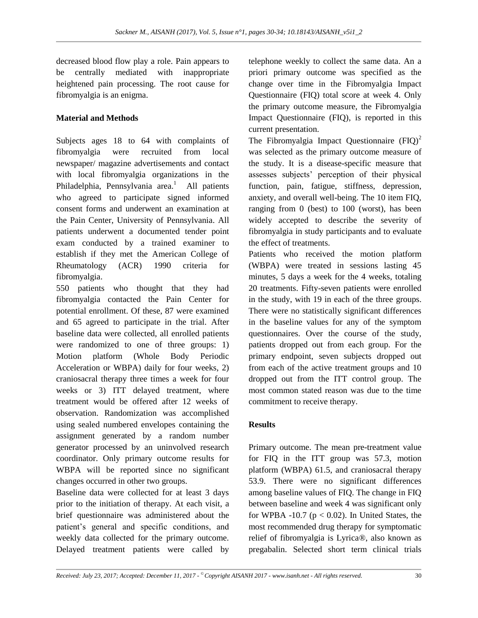decreased blood flow play a role. Pain appears to be centrally mediated with inappropriate heightened pain processing. The root cause for fibromyalgia is an enigma.

# **Material and Methods**

Subjects ages 18 to 64 with complaints of fibromyalgia were recruited from local newspaper/ magazine advertisements and contact with local fibromyalgia organizations in the Philadelphia, Pennsylvania area.<sup>1</sup> All patients who agreed to participate signed informed consent forms and underwent an examination at the Pain Center, University of Pennsylvania. All patients underwent a documented tender point exam conducted by a trained examiner to establish if they met the American College of Rheumatology (ACR) 1990 criteria for fibromyalgia.

550 patients who thought that they had fibromyalgia contacted the Pain Center for potential enrollment. Of these, 87 were examined and 65 agreed to participate in the trial. After baseline data were collected, all enrolled patients were randomized to one of three groups: 1) Motion platform (Whole Body Periodic Acceleration or WBPA) daily for four weeks, 2) craniosacral therapy three times a week for four weeks or 3) ITT delayed treatment, where treatment would be offered after 12 weeks of observation. Randomization was accomplished using sealed numbered envelopes containing the assignment generated by a random number generator processed by an uninvolved research coordinator. Only primary outcome results for WBPA will be reported since no significant changes occurred in other two groups.

Baseline data were collected for at least 3 days prior to the initiation of therapy. At each visit, a brief questionnaire was administered about the patient's general and specific conditions, and weekly data collected for the primary outcome. Delayed treatment patients were called by telephone weekly to collect the same data. An a priori primary outcome was specified as the change over time in the Fibromyalgia Impact Questionnaire (FIQ) total score at week 4. Only the primary outcome measure, the Fibromyalgia Impact Questionnaire (FIQ), is reported in this current presentation.

The Fibromyalgia Impact Questionnaire  $(FIQ)^2$ was selected as the primary outcome measure of the study. It is a disease-specific measure that assesses subjects' perception of their physical function, pain, fatigue, stiffness, depression, anxiety, and overall well-being. The 10 item FIQ, ranging from 0 (best) to 100 (worst), has been widely accepted to describe the severity of fibromyalgia in study participants and to evaluate the effect of treatments.

Patients who received the motion platform (WBPA) were treated in sessions lasting 45 minutes, 5 days a week for the 4 weeks, totaling 20 treatments. Fifty-seven patients were enrolled in the study, with 19 in each of the three groups. There were no statistically significant differences in the baseline values for any of the symptom questionnaires. Over the course of the study, patients dropped out from each group. For the primary endpoint, seven subjects dropped out from each of the active treatment groups and 10 dropped out from the ITT control group. The most common stated reason was due to the time commitment to receive therapy.

# **Results**

Primary outcome. The mean pre-treatment value for FIQ in the ITT group was 57.3, motion platform (WBPA) 61.5, and craniosacral therapy 53.9. There were no significant differences among baseline values of FIQ. The change in FIQ between baseline and week 4 was significant only for WPBA -10.7 ( $p < 0.02$ ). In United States, the most recommended drug therapy for symptomatic relief of fibromyalgia is Lyrica®, also known as pregabalin. Selected short term clinical trials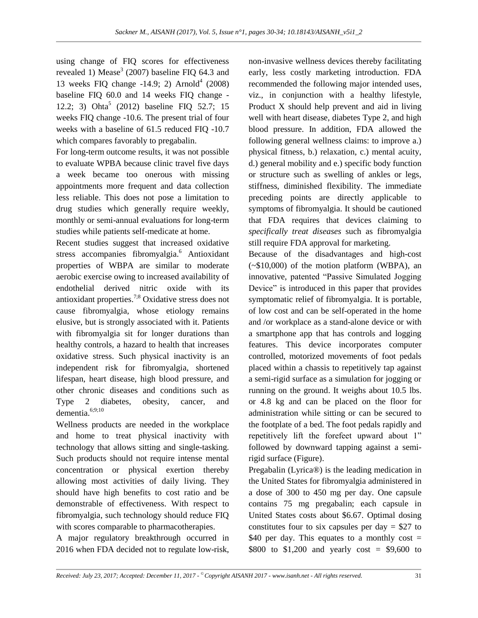using change of FIQ scores for effectiveness revealed 1) Mease<sup>3</sup> (2007) baseline FIQ 64.3 and 13 weeks FIQ change  $-14.9$ ; 2) Arnold<sup>4</sup> (2008) baseline FIQ 60.0 and 14 weeks FIQ change - 12.2; 3) Ohta 5 (2012) baseline FIQ 52.7; 15 weeks FIQ change -10.6. The present trial of four weeks with a baseline of 61.5 reduced FIQ -10.7 which compares favorably to pregabalin.

For long-term outcome results, it was not possible to evaluate WPBA because clinic travel five days a week became too onerous with missing appointments more frequent and data collection less reliable. This does not pose a limitation to drug studies which generally require weekly, monthly or semi-annual evaluations for long-term studies while patients self-medicate at home.

Recent studies suggest that increased oxidative stress accompanies fibromyalgia.<sup>6</sup> Antioxidant properties of WBPA are similar to moderate aerobic exercise owing to increased availability of endothelial derived nitric oxide with its antioxidant properties. 7;8 Oxidative stress does not cause fibromyalgia, whose etiology remains elusive, but is strongly associated with it. Patients with fibromyalgia sit for longer durations than healthy controls, a hazard to health that increases oxidative stress. Such physical inactivity is an independent risk for fibromyalgia, shortened lifespan, heart disease, high blood pressure, and other chronic diseases and conditions such as Type 2 diabetes, obesity, cancer, and dementia.<sup>6;9;10</sup>

Wellness products are needed in the workplace and home to treat physical inactivity with technology that allows sitting and single-tasking. Such products should not require intense mental concentration or physical exertion thereby allowing most activities of daily living. They should have high benefits to cost ratio and be demonstrable of effectiveness. With respect to fibromyalgia, such technology should reduce FIQ with scores comparable to pharmacotherapies.

A major regulatory breakthrough occurred in 2016 when FDA decided not to regulate low-risk,

non-invasive wellness devices thereby facilitating early, less costly marketing introduction. FDA recommended the following major intended uses, viz., in conjunction with a healthy lifestyle, Product X should help prevent and aid in living well with heart disease, diabetes Type 2, and high blood pressure. In addition, FDA allowed the following general wellness claims: to improve a.) physical fitness, b.) relaxation, c.) mental acuity, d.) general mobility and e.) specific body function or structure such as swelling of ankles or legs, stiffness, diminished flexibility. The immediate preceding points are directly applicable to symptoms of fibromyalgia. It should be cautioned that FDA requires that devices claiming to *specifically treat diseases* such as fibromyalgia still require FDA approval for marketing.

Because of the disadvantages and high-cost  $(*10,000)$  of the motion platform (WBPA), an innovative, patented "Passive Simulated Jogging Device" is introduced in this paper that provides symptomatic relief of fibromyalgia. It is portable, of low cost and can be self-operated in the home and /or workplace as a stand-alone device or with a smartphone app that has controls and logging features. This device incorporates computer controlled, motorized movements of foot pedals placed within a chassis to repetitively tap against a semi-rigid surface as a simulation for jogging or running on the ground. It weighs about 10.5 lbs. or 4.8 kg and can be placed on the floor for administration while sitting or can be secured to the footplate of a bed. The foot pedals rapidly and repetitively lift the forefeet upward about 1" followed by downward tapping against a semirigid surface (Figure).

Pregabalin (Lyrica®) is the leading medication in the United States for fibromyalgia administered in a dose of 300 to 450 mg per day. One capsule contains 75 mg pregabalin; each capsule in United States costs about \$6.67. Optimal dosing constitutes four to six capsules per day  $=$  \$27 to \$40 per day. This equates to a monthly cost  $=$ \$800 to \$1,200 and yearly cost = \$9,600 to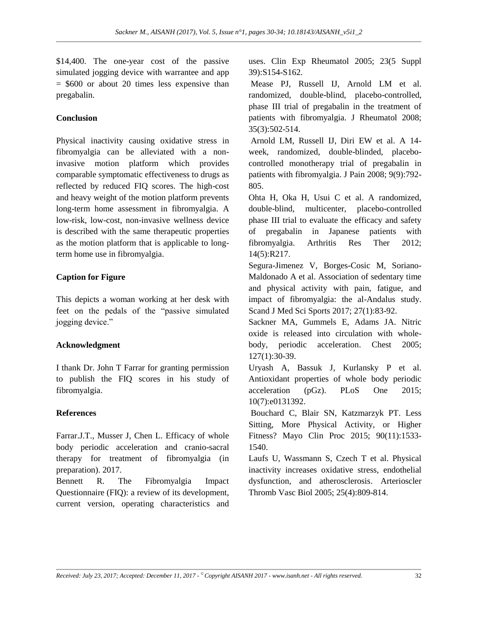\$14,400. The one-year cost of the passive simulated jogging device with warrantee and app  $=$  \$600 or about 20 times less expensive than pregabalin.

### **Conclusion**

Physical inactivity causing oxidative stress in fibromyalgia can be alleviated with a noninvasive motion platform which provides comparable symptomatic effectiveness to drugs as reflected by reduced FIQ scores. The high-cost and heavy weight of the motion platform prevents long-term home assessment in fibromyalgia. A low-risk, low-cost, non-invasive wellness device is described with the same therapeutic properties as the motion platform that is applicable to longterm home use in fibromyalgia.

#### **Caption for Figure**

This depicts a woman working at her desk with feet on the pedals of the "passive simulated jogging device."

#### **Acknowledgment**

I thank Dr. John T Farrar for granting permission to publish the FIQ scores in his study of fibromyalgia.

#### **References**

Farrar.J.T., Musser J, Chen L. Efficacy of whole body periodic acceleration and cranio-sacral therapy for treatment of fibromyalgia (in preparation). 2017.

Bennett R. The Fibromyalgia Impact Questionnaire (FIQ): a review of its development, current version, operating characteristics and

uses. Clin Exp Rheumatol 2005; 23(5 Suppl 39):S154-S162.

Mease PJ, Russell IJ, Arnold LM et al. randomized, double-blind, placebo-controlled, phase III trial of pregabalin in the treatment of patients with fibromyalgia. J Rheumatol 2008; 35(3):502-514.

Arnold LM, Russell IJ, Diri EW et al. A 14 week, randomized, double-blinded, placebocontrolled monotherapy trial of pregabalin in patients with fibromyalgia. J Pain 2008; 9(9):792- 805.

Ohta H, Oka H, Usui C et al. A randomized, double-blind, multicenter, placebo-controlled phase III trial to evaluate the efficacy and safety of pregabalin in Japanese patients with fibromyalgia. Arthritis Res Ther 2012; 14(5):R217.

Segura-Jimenez V, Borges-Cosic M, Soriano-Maldonado A et al. Association of sedentary time and physical activity with pain, fatigue, and impact of fibromyalgia: the al-Andalus study. Scand J Med Sci Sports 2017; 27(1):83-92.

Sackner MA, Gummels E, Adams JA. Nitric oxide is released into circulation with wholebody, periodic acceleration. Chest 2005; 127(1):30-39.

Uryash A, Bassuk J, Kurlansky P et al. Antioxidant properties of whole body periodic acceleration (pGz). PLoS One 2015; 10(7):e0131392.

Bouchard C, Blair SN, Katzmarzyk PT. Less Sitting, More Physical Activity, or Higher Fitness? Mayo Clin Proc 2015; 90(11):1533- 1540.

Laufs U, Wassmann S, Czech T et al. Physical inactivity increases oxidative stress, endothelial dysfunction, and atherosclerosis. Arterioscler Thromb Vasc Biol 2005; 25(4):809-814.